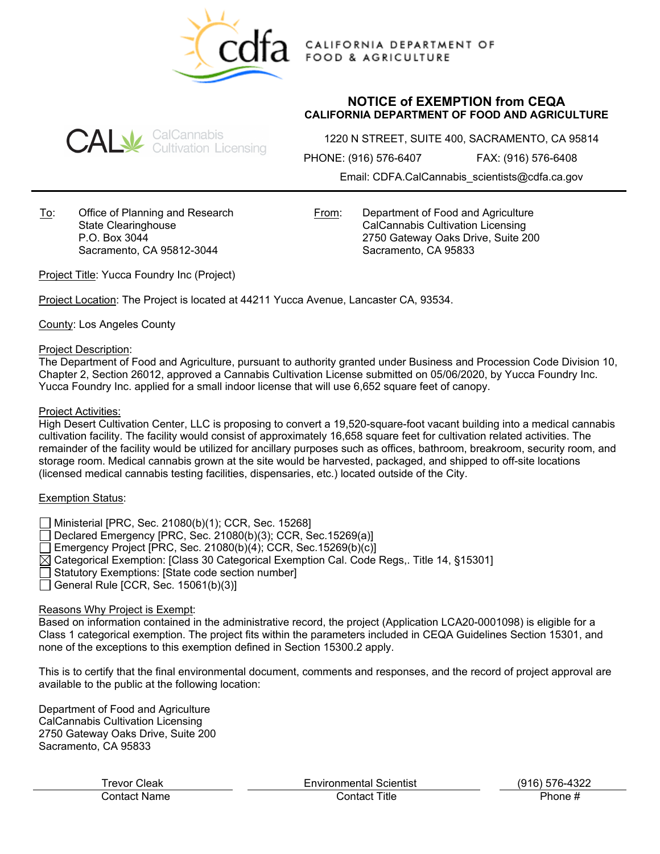

CALIFORNIA DEPARTMENT OF **FOOD & AGRICULTURE** 

# **NOTICE of EXEMPTION from CEQA CALIFORNIA DEPARTMENT OF FOOD AND AGRICULTURE**



1220 N STREET, SUITE 400, SACRAMENTO, CA 95814

PHONE: (916) 576-6407 FAX: (916) 576-6408

Email: CDFA.CalCannabis\_scientists@cdfa.ca.gov

To: Office of Planning and Research State Clearinghouse P.O. Box 3044 Sacramento, CA 95812-3044

From: Department of Food and Agriculture CalCannabis Cultivation Licensing 2750 Gateway Oaks Drive, Suite 200 Sacramento, CA 95833

Project Title: Yucca Foundry Inc (Project)

Project Location: The Project is located at 44211 Yucca Avenue, Lancaster CA, 93534.

County: Los Angeles County

#### Project Description:

The Department of Food and Agriculture, pursuant to authority granted under Business and Procession Code Division 10, Chapter 2, Section 26012, approved a Cannabis Cultivation License submitted on 05/06/2020, by Yucca Foundry Inc. Yucca Foundry Inc. applied for a small indoor license that will use 6,652 square feet of canopy.

#### Project Activities:

High Desert Cultivation Center, LLC is proposing to convert a 19,520-square-foot vacant building into a medical cannabis cultivation facility. The facility would consist of approximately 16,658 square feet for cultivation related activities. The remainder of the facility would be utilized for ancillary purposes such as offices, bathroom, breakroom, security room, and storage room. Medical cannabis grown at the site would be harvested, packaged, and shipped to off-site locations (licensed medical cannabis testing facilities, dispensaries, etc.) located outside of the City.

# Exemption Status:

- Ministerial [PRC, Sec. 21080(b)(1); CCR, Sec. 15268]
- Declared Emergency [PRC, Sec. 21080(b)(3); CCR, Sec.15269(a)]
- Emergency Project [PRC, Sec. 21080(b)(4); CCR, Sec.15269(b)(c)]
- $\boxtimes$  Categorical Exemption: [Class 30 Categorical Exemption Cal. Code Regs,. Title 14, §15301]
- Statutory Exemptions: [State code section number]
- General Rule [CCR, Sec.  $15061(b)(3)$ ]

# Reasons Why Project is Exempt:

Based on information contained in the administrative record, the project (Application LCA20-0001098) is eligible for a Class 1 categorical exemption. The project fits within the parameters included in CEQA Guidelines Section 15301, and none of the exceptions to this exemption defined in Section 15300.2 apply.

This is to certify that the final environmental document, comments and responses, and the record of project approval are available to the public at the following location:

Department of Food and Agriculture CalCannabis Cultivation Licensing 2750 Gateway Oaks Drive, Suite 200 Sacramento, CA 95833

 Trevor Cleak Environmental Scientist (916) 576-4322 Contact Name Contact Title Phone #